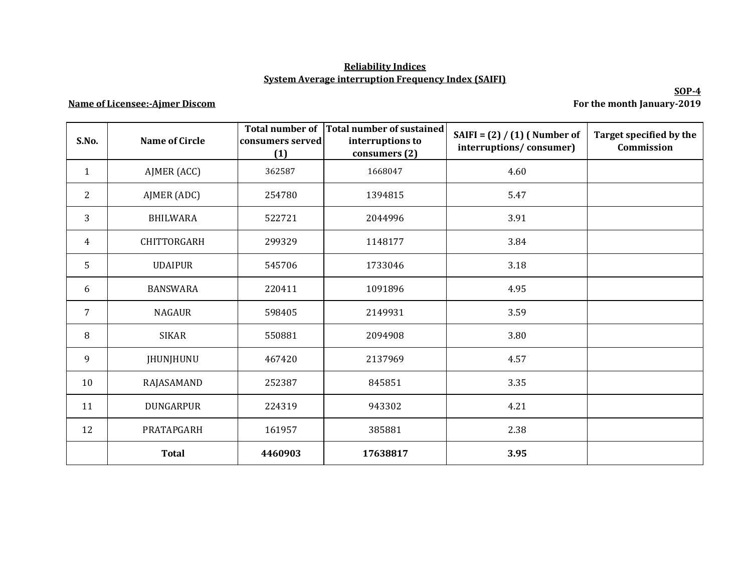## **Reliability Indices System Average interruption Frequency Index (SAIFI)**

## **Name of Licensee:-Ajmer Discom**

**SOP-4 For the month January-2019**

| S.No.          | <b>Name of Circle</b> | <b>Total number of</b><br>consumers served<br>(1) | Total number of sustained<br>interruptions to<br>consumers (2) | SAIFI = $(2) / (1)$ (Number of<br>interruptions/consumer) | Target specified by the<br>Commission |
|----------------|-----------------------|---------------------------------------------------|----------------------------------------------------------------|-----------------------------------------------------------|---------------------------------------|
| $\mathbf{1}$   | AJMER (ACC)           | 362587                                            | 1668047                                                        | 4.60                                                      |                                       |
| $\overline{2}$ | AJMER (ADC)           | 254780                                            | 1394815                                                        | 5.47                                                      |                                       |
| 3              | <b>BHILWARA</b>       | 522721                                            | 2044996                                                        | 3.91                                                      |                                       |
| 4              | <b>CHITTORGARH</b>    | 299329                                            | 1148177                                                        | 3.84                                                      |                                       |
| 5              | <b>UDAIPUR</b>        | 545706                                            | 1733046                                                        | 3.18                                                      |                                       |
| 6              | <b>BANSWARA</b>       | 220411                                            | 1091896                                                        | 4.95                                                      |                                       |
| $\overline{7}$ | <b>NAGAUR</b>         | 598405                                            | 2149931                                                        | 3.59                                                      |                                       |
| 8              | <b>SIKAR</b>          | 550881                                            | 2094908                                                        | 3.80                                                      |                                       |
| 9              | JHUNJHUNU             | 467420                                            | 2137969                                                        | 4.57                                                      |                                       |
| 10             | RAJASAMAND            | 252387                                            | 845851                                                         | 3.35                                                      |                                       |
| 11             | <b>DUNGARPUR</b>      | 224319                                            | 943302                                                         | 4.21                                                      |                                       |
| 12             | PRATAPGARH            | 161957                                            | 385881                                                         | 2.38                                                      |                                       |
|                | <b>Total</b>          | 4460903                                           | 17638817                                                       | 3.95                                                      |                                       |